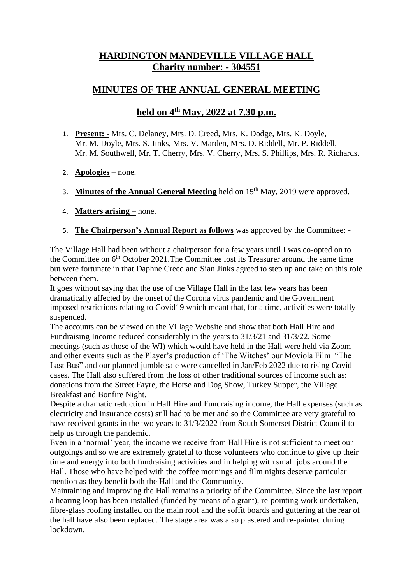## **HARDINGTON MANDEVILLE VILLAGE HALL Charity number: - 304551**

## **MINUTES OF THE ANNUAL GENERAL MEETING**

## **held on 4th May, 2022 at 7.30 p.m.**

- 1. **Present: -** Mrs. C. Delaney, Mrs. D. Creed, Mrs. K. Dodge, Mrs. K. Doyle, Mr. M. Doyle, Mrs. S. Jinks, Mrs. V. Marden, Mrs. D. Riddell, Mr. P. Riddell, Mr. M. Southwell, Mr. T. Cherry, Mrs. V. Cherry, Mrs. S. Phillips, Mrs. R. Richards.
- 2. **Apologies** none.
- 3. **Minutes of the Annual General Meeting** held on 15th May, 2019 were approved.
- 4. **Matters arising –** none.
- 5. **The Chairperson's Annual Report as follows** was approved by the Committee: -

The Village Hall had been without a chairperson for a few years until I was co-opted on to the Committee on 6<sup>th</sup> October 2021. The Committee lost its Treasurer around the same time but were fortunate in that Daphne Creed and Sian Jinks agreed to step up and take on this role between them.

It goes without saying that the use of the Village Hall in the last few years has been dramatically affected by the onset of the Corona virus pandemic and the Government imposed restrictions relating to Covid19 which meant that, for a time, activities were totally suspended.

The accounts can be viewed on the Village Website and show that both Hall Hire and Fundraising Income reduced considerably in the years to 31/3/21 and 31/3/22. Some meetings (such as those of the WI) which would have held in the Hall were held via Zoom and other events such as the Player's production of 'The Witches' our Moviola Film "The Last Bus" and our planned jumble sale were cancelled in Jan/Feb 2022 due to rising Covid cases. The Hall also suffered from the loss of other traditional sources of income such as: donations from the Street Fayre, the Horse and Dog Show, Turkey Supper, the Village Breakfast and Bonfire Night.

Despite a dramatic reduction in Hall Hire and Fundraising income, the Hall expenses (such as electricity and Insurance costs) still had to be met and so the Committee are very grateful to have received grants in the two years to 31/3/2022 from South Somerset District Council to help us through the pandemic.

Even in a 'normal' year, the income we receive from Hall Hire is not sufficient to meet our outgoings and so we are extremely grateful to those volunteers who continue to give up their time and energy into both fundraising activities and in helping with small jobs around the Hall. Those who have helped with the coffee mornings and film nights deserve particular mention as they benefit both the Hall and the Community.

Maintaining and improving the Hall remains a priority of the Committee. Since the last report a hearing loop has been installed (funded by means of a grant), re-pointing work undertaken, fibre-glass roofing installed on the main roof and the soffit boards and guttering at the rear of the hall have also been replaced. The stage area was also plastered and re-painted during lockdown.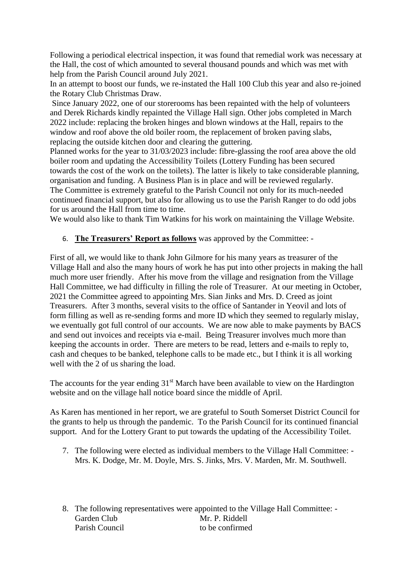Following a periodical electrical inspection, it was found that remedial work was necessary at the Hall, the cost of which amounted to several thousand pounds and which was met with help from the Parish Council around July 2021.

In an attempt to boost our funds, we re-instated the Hall 100 Club this year and also re-joined the Rotary Club Christmas Draw.

Since January 2022, one of our storerooms has been repainted with the help of volunteers and Derek Richards kindly repainted the Village Hall sign. Other jobs completed in March 2022 include: replacing the broken hinges and blown windows at the Hall, repairs to the window and roof above the old boiler room, the replacement of broken paving slabs, replacing the outside kitchen door and clearing the guttering.

Planned works for the year to 31/03/2023 include: fibre-glassing the roof area above the old boiler room and updating the Accessibility Toilets (Lottery Funding has been secured towards the cost of the work on the toilets). The latter is likely to take considerable planning, organisation and funding. A Business Plan is in place and will be reviewed regularly. The Committee is extremely grateful to the Parish Council not only for its much-needed continued financial support, but also for allowing us to use the Parish Ranger to do odd jobs for us around the Hall from time to time.

We would also like to thank Tim Watkins for his work on maintaining the Village Website.

## 6. **The Treasurers' Report as follows** was approved by the Committee: -

First of all, we would like to thank John Gilmore for his many years as treasurer of the Village Hall and also the many hours of work he has put into other projects in making the hall much more user friendly. After his move from the village and resignation from the Village Hall Committee, we had difficulty in filling the role of Treasurer. At our meeting in October, 2021 the Committee agreed to appointing Mrs. Sian Jinks and Mrs. D. Creed as joint Treasurers. After 3 months, several visits to the office of Santander in Yeovil and lots of form filling as well as re-sending forms and more ID which they seemed to regularly mislay, we eventually got full control of our accounts. We are now able to make payments by BACS and send out invoices and receipts via e-mail. Being Treasurer involves much more than keeping the accounts in order. There are meters to be read, letters and e-mails to reply to, cash and cheques to be banked, telephone calls to be made etc., but I think it is all working well with the 2 of us sharing the load.

The accounts for the year ending  $31<sup>st</sup>$  March have been available to view on the Hardington website and on the village hall notice board since the middle of April.

As Karen has mentioned in her report, we are grateful to South Somerset District Council for the grants to help us through the pandemic. To the Parish Council for its continued financial support. And for the Lottery Grant to put towards the updating of the Accessibility Toilet.

7. The following were elected as individual members to the Village Hall Committee: - Mrs. K. Dodge, Mr. M. Doyle, Mrs. S. Jinks, Mrs. V. Marden, Mr. M. Southwell.

8. The following representatives were appointed to the Village Hall Committee: - Garden Club Mr. P. Riddell Parish Council to be confirmed